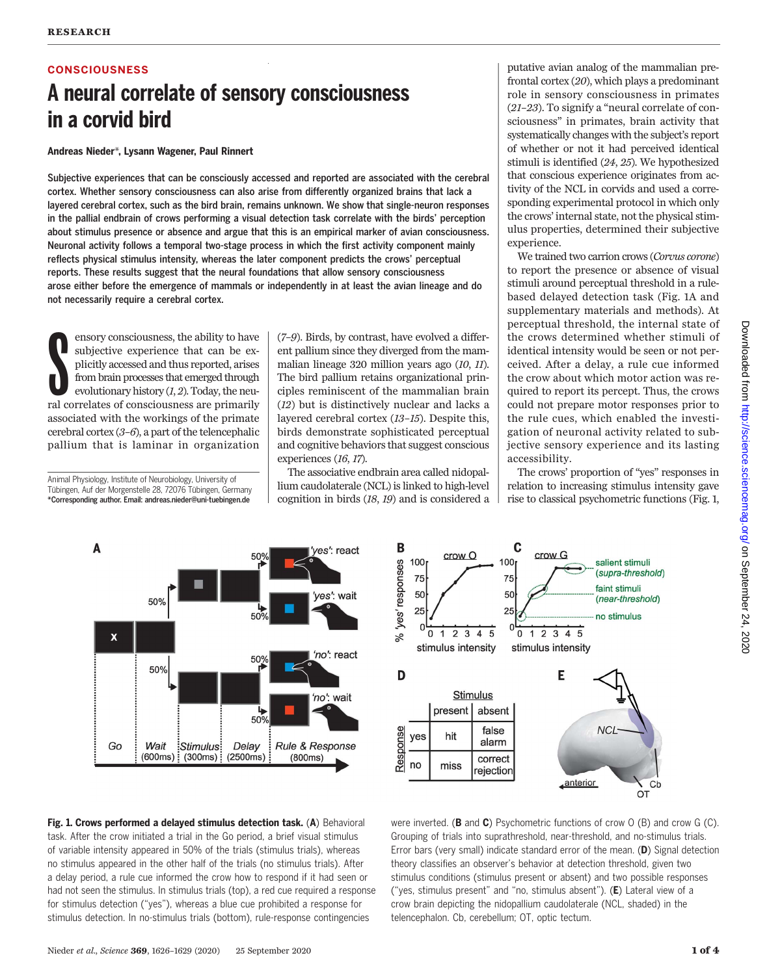# **CONSCIOUSNESS**

# A neural correlate of sensory consciousness in a corvid bird

### Andreas Nieder\*, Lysann Wagener, Paul Rinnert

Subjective experiences that can be consciously accessed and reported are associated with the cerebral cortex. Whether sensory consciousness can also arise from differently organized brains that lack a layered cerebral cortex, such as the bird brain, remains unknown. We show that single-neuron responses in the pallial endbrain of crows performing a visual detection task correlate with the birds' perception about stimulus presence or absence and argue that this is an empirical marker of avian consciousness. Neuronal activity follows a temporal two-stage process in which the first activity component mainly reflects physical stimulus intensity, whereas the later component predicts the crows' perceptual reports. These results suggest that the neural foundations that allow sensory consciousness arose either before the emergence of mammals or independently in at least the avian lineage and do not necessarily require a cerebral cortex.

 $\begin{tabular}{l} } & ensory consciousness, the ability to have  
subjective experience that can be ex-  
plicitly accessed and thus reported, arises  
from brain processes that emerged through  
evolutionary history (I, 2). Today, the neu-  
ral correlates of consciousness are primarily$ ensory consciousness, the ability to have subjective experience that can be explicitly accessed and thus reported, arises from brain processes that emerged through evolutionary history  $(1, 2)$ . Today, the neuassociated with the workings of the primate cerebral cortex  $(3-6)$ , a part of the telencephalic pallium that is laminar in organization

Animal Physiology, Institute of Neurobiology, University of Tübingen, Auf der Morgenstelle 28, 72076 Tübingen, Germany \*Corresponding author. Email: andreas.nieder@uni-tuebingen.de

(7–9). Birds, by contrast, have evolved a different pallium since they diverged from the mammalian lineage 320 million years ago (10, 11). The bird pallium retains organizational principles reminiscent of the mammalian brain (12) but is distinctively nuclear and lacks a layered cerebral cortex (13–15). Despite this, birds demonstrate sophisticated perceptual and cognitive behaviors that suggest conscious experiences (16, 17).

The associative endbrain area called nidopallium caudolaterale (NCL) is linked to high-level cognition in birds (18, 19) and is considered a

putative avian analog of the mammalian prefrontal cortex (20), which plays a predominant role in sensory consciousness in primates (21–23). To signify a "neural correlate of consciousness" in primates, brain activity that systematically changes with the subject's report of whether or not it had perceived identical stimuli is identified (24, 25). We hypothesized that conscious experience originates from activity of the NCL in corvids and used a corresponding experimental protocol in which only the crows' internal state, not the physical stimulus properties, determined their subjective experience.

We trained two carrion crows (Corvus corone) to report the presence or absence of visual stimuli around perceptual threshold in a rulebased delayed detection task (Fig. 1A and supplementary materials and methods). At perceptual threshold, the internal state of the crows determined whether stimuli of identical intensity would be seen or not perceived. After a delay, a rule cue informed the crow about which motor action was required to report its percept. Thus, the crows could not prepare motor responses prior to the rule cues, which enabled the investigation of neuronal activity related to subjective sensory experience and its lasting accessibility.

The crows' proportion of "yes" responses in relation to increasing stimulus intensity gave rise to classical psychometric functions (Fig. 1,





Fig. 1. Crows performed a delayed stimulus detection task. (A) Behavioral task. After the crow initiated a trial in the Go period, a brief visual stimulus of variable intensity appeared in 50% of the trials (stimulus trials), whereas no stimulus appeared in the other half of the trials (no stimulus trials). After a delay period, a rule cue informed the crow how to respond if it had seen or had not seen the stimulus. In stimulus trials (top), a red cue required a response for stimulus detection ("yes"), whereas a blue cue prohibited a response for stimulus detection. In no-stimulus trials (bottom), rule-response contingencies

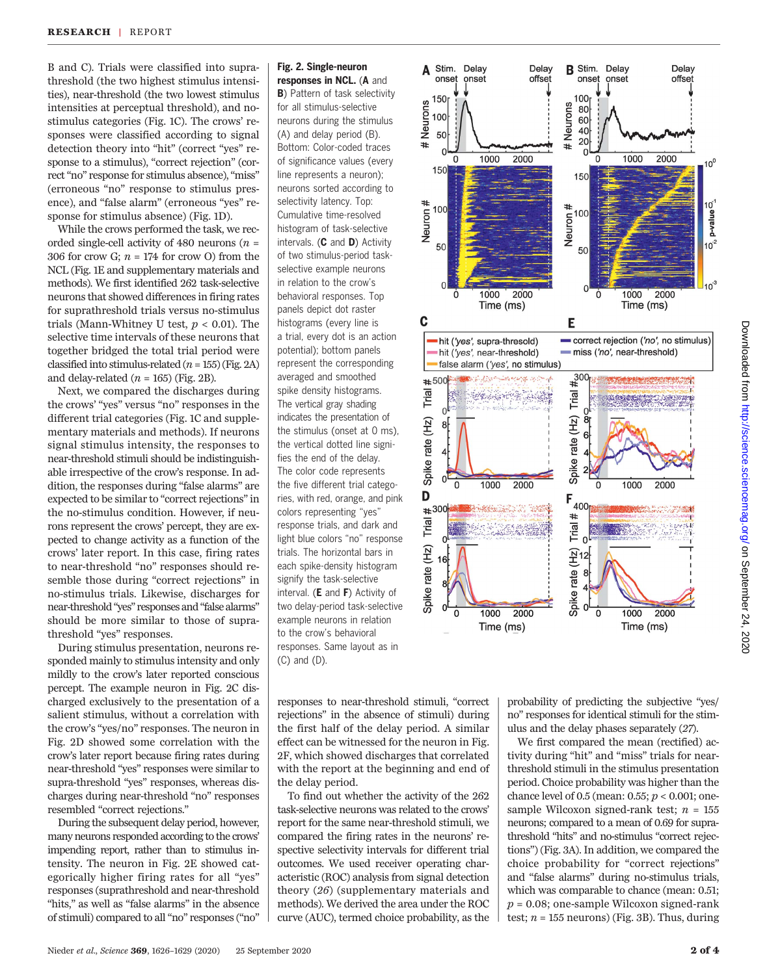B and C). Trials were classified into suprathreshold (the two highest stimulus intensities), near-threshold (the two lowest stimulus intensities at perceptual threshold), and nostimulus categories (Fig. 1C). The crows' responses were classified according to signal detection theory into "hit" (correct "yes" response to a stimulus), "correct rejection" (correct "no" response for stimulus absence), "miss" (erroneous "no" response to stimulus presence), and "false alarm" (erroneous "yes" response for stimulus absence) (Fig. 1D).

While the crows performed the task, we recorded single-cell activity of 480 neurons ( $n =$ 306 for crow G;  $n = 174$  for crow O) from the NCL (Fig. 1E and supplementary materials and methods). We first identified 262 task-selective neurons that showed differences in firing rates for suprathreshold trials versus no-stimulus trials (Mann-Whitney U test,  $p < 0.01$ ). The selective time intervals of these neurons that together bridged the total trial period were classified into stimulus-related  $(n = 155)$  (Fig. 2A) and delay-related  $(n = 165)$  (Fig. 2B).

Next, we compared the discharges during the crows' "yes" versus "no" responses in the different trial categories (Fig. 1C and supplementary materials and methods). If neurons signal stimulus intensity, the responses to near-threshold stimuli should be indistinguishable irrespective of the crow's response. In addition, the responses during "false alarms" are expected to be similar to "correct rejections"in the no-stimulus condition. However, if neurons represent the crows' percept, they are expected to change activity as a function of the crows' later report. In this case, firing rates to near-threshold "no" responses should resemble those during "correct rejections" in no-stimulus trials. Likewise, discharges for near-threshold"yes"responses and"false alarms" should be more similar to those of suprathreshold "yes" responses.

During stimulus presentation, neurons responded mainly to stimulus intensity and only mildly to the crow's later reported conscious percept. The example neuron in Fig. 2C discharged exclusively to the presentation of a salient stimulus, without a correlation with the crow's "yes/no" responses. The neuron in Fig. 2D showed some correlation with the crow's later report because firing rates during near-threshold "yes" responses were similar to supra-threshold "yes" responses, whereas discharges during near-threshold "no" responses resembled "correct rejections."

During the subsequent delay period, however, many neurons responded according to the crows' impending report, rather than to stimulus intensity. The neuron in Fig. 2E showed categorically higher firing rates for all "yes" responses (suprathreshold and near-threshold "hits," as well as "false alarms" in the absence of stimuli) compared to all "no" responses ("no"

# Fig. 2. Single-neuron

responses in NCL. (A and **B**) Pattern of task selectivity for all stimulus-selective neurons during the stimulus (A) and delay period (B). Bottom: Color-coded traces of significance values (every line represents a neuron); neurons sorted according to selectivity latency. Top: Cumulative time-resolved histogram of task-selective intervals. (C and D) Activity of two stimulus-period taskselective example neurons in relation to the crow's behavioral responses. Top panels depict dot raster histograms (every line is a trial, every dot is an action potential); bottom panels represent the corresponding averaged and smoothed spike density histograms. The vertical gray shading indicates the presentation of the stimulus (onset at 0 ms), the vertical dotted line signifies the end of the delay. The color code represents the five different trial categories, with red, orange, and pink colors representing "yes" response trials, and dark and light blue colors "no" response trials. The horizontal bars in each spike-density histogram signify the task-selective interval. (E and F) Activity of two delay-period task-selective example neurons in relation to the crow's behavioral responses. Same layout as in (C) and (D).



responses to near-threshold stimuli, "correct rejections" in the absence of stimuli) during the first half of the delay period. A similar effect can be witnessed for the neuron in Fig. 2F, which showed discharges that correlated with the report at the beginning and end of the delay period.

To find out whether the activity of the 262 task-selective neurons was related to the crows' report for the same near-threshold stimuli, we compared the firing rates in the neurons' respective selectivity intervals for different trial outcomes. We used receiver operating characteristic (ROC) analysis from signal detection theory (26) (supplementary materials and methods). We derived the area under the ROC curve (AUC), termed choice probability, as the

probability of predicting the subjective "yes/ no" responses for identical stimuli for the stimulus and the delay phases separately (27).

We first compared the mean (rectified) activity during "hit" and "miss" trials for nearthreshold stimuli in the stimulus presentation period. Choice probability was higher than the chance level of 0.5 (mean: 0.55;  $p < 0.001$ ; onesample Wilcoxon signed-rank test;  $n = 155$ neurons; compared to a mean of 0.69 for suprathreshold "hits" and no-stimulus "correct rejections") (Fig. 3A). In addition, we compared the choice probability for "correct rejections" and "false alarms" during no-stimulus trials, which was comparable to chance (mean: 0.51;  $p = 0.08$ ; one-sample Wilcoxon signed-rank test;  $n = 155$  neurons) (Fig. 3B). Thus, during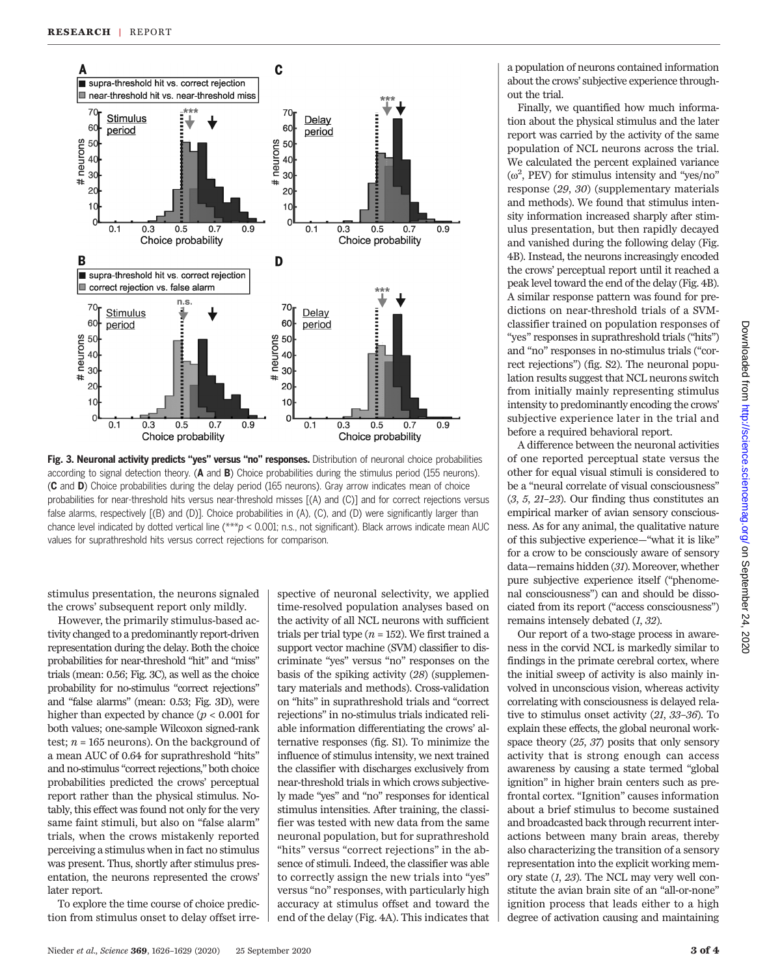

Fig. 3. Neuronal activity predicts "yes" versus "no" responses. Distribution of neuronal choice probabilities according to signal detection theory. (A and B) Choice probabilities during the stimulus period (155 neurons). (C and D) Choice probabilities during the delay period (165 neurons). Gray arrow indicates mean of choice probabilities for near-threshold hits versus near-threshold misses [(A) and (C)] and for correct rejections versus false alarms, respectively [(B) and (D)]. Choice probabilities in (A), (C), and (D) were significantly larger than chance level indicated by dotted vertical line (\*\*\* $p < 0.001$ ; n.s., not significant). Black arrows indicate mean AUC values for suprathreshold hits versus correct rejections for comparison.

stimulus presentation, the neurons signaled the crows' subsequent report only mildly.

However, the primarily stimulus-based activity changed to a predominantly report-driven representation during the delay. Both the choice probabilities for near-threshold "hit" and "miss" trials (mean: 0.56; Fig. 3C), as well as the choice probability for no-stimulus "correct rejections" and "false alarms" (mean: 0.53; Fig. 3D), were higher than expected by chance  $(p < 0.001$  for both values; one-sample Wilcoxon signed-rank test;  $n = 165$  neurons). On the background of a mean AUC of 0.64 for suprathreshold "hits" and no-stimulus "correct rejections," both choice probabilities predicted the crows' perceptual report rather than the physical stimulus. Notably, this effect was found not only for the very same faint stimuli, but also on "false alarm" trials, when the crows mistakenly reported perceiving a stimulus when in fact no stimulus was present. Thus, shortly after stimulus presentation, the neurons represented the crows' later report.

To explore the time course of choice prediction from stimulus onset to delay offset irre-

spective of neuronal selectivity, we applied time-resolved population analyses based on the activity of all NCL neurons with sufficient trials per trial type  $(n = 152)$ . We first trained a support vector machine (SVM) classifier to discriminate "yes" versus "no" responses on the basis of the spiking activity (28) (supplementary materials and methods). Cross-validation on "hits" in suprathreshold trials and "correct rejections" in no-stimulus trials indicated reliable information differentiating the crows' alternative responses (fig. S1). To minimize the influence of stimulus intensity, we next trained the classifier with discharges exclusively from near-threshold trials in which crows subjectively made "yes" and "no" responses for identical stimulus intensities. After training, the classifier was tested with new data from the same neuronal population, but for suprathreshold "hits" versus "correct rejections" in the absence of stimuli. Indeed, the classifier was able to correctly assign the new trials into "yes" versus "no" responses, with particularly high accuracy at stimulus offset and toward the end of the delay (Fig. 4A). This indicates that

a population of neurons contained information about the crows' subjective experience throughout the trial.

Finally, we quantified how much information about the physical stimulus and the later report was carried by the activity of the same population of NCL neurons across the trial. We calculated the percent explained variance  $(\omega^2, PEV)$  for stimulus intensity and "yes/no" response (29, 30) (supplementary materials and methods). We found that stimulus intensity information increased sharply after stimulus presentation, but then rapidly decayed and vanished during the following delay (Fig. 4B). Instead, the neurons increasingly encoded the crows' perceptual report until it reached a peak level toward the end of the delay (Fig. 4B). A similar response pattern was found for predictions on near-threshold trials of a SVMclassifier trained on population responses of "yes" responses in suprathreshold trials ("hits") and "no" responses in no-stimulus trials ("correct rejections") (fig. S2). The neuronal population results suggest that NCL neurons switch from initially mainly representing stimulus intensity to predominantly encoding the crows' subjective experience later in the trial and before a required behavioral report.

A difference between the neuronal activities of one reported perceptual state versus the other for equal visual stimuli is considered to be a "neural correlate of visual consciousness" (3, 5, 21–23). Our finding thus constitutes an empirical marker of avian sensory consciousness. As for any animal, the qualitative nature of this subjective experience—"what it is like" for a crow to be consciously aware of sensory data—remains hidden (31). Moreover, whether pure subjective experience itself ("phenomenal consciousness") can and should be dissociated from its report ("access consciousness") remains intensely debated (1, 32).

Our report of a two-stage process in awareness in the corvid NCL is markedly similar to findings in the primate cerebral cortex, where the initial sweep of activity is also mainly involved in unconscious vision, whereas activity correlating with consciousness is delayed relative to stimulus onset activity (21, 33–36). To explain these effects, the global neuronal workspace theory (25, 37) posits that only sensory activity that is strong enough can access awareness by causing a state termed "global ignition" in higher brain centers such as prefrontal cortex. "Ignition" causes information about a brief stimulus to become sustained and broadcasted back through recurrent interactions between many brain areas, thereby also characterizing the transition of a sensory representation into the explicit working memory state (1, 23). The NCL may very well constitute the avian brain site of an "all-or-none" ignition process that leads either to a high degree of activation causing and maintaining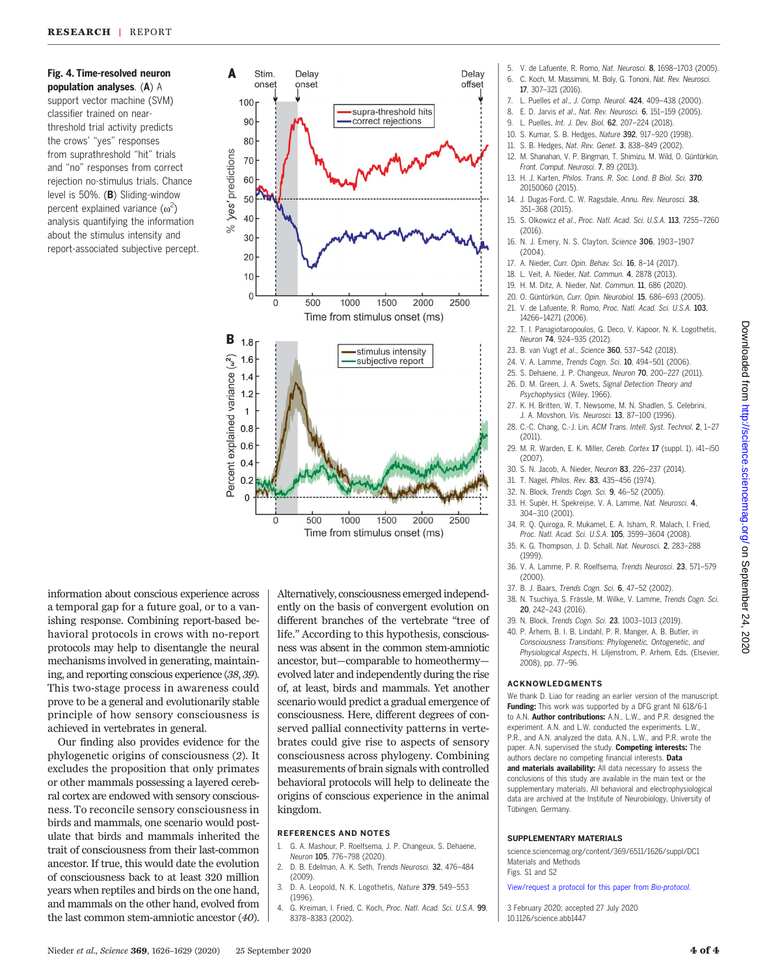## Fig. 4. Time-resolved neuron population analyses. (A) A support vector machine (SVM) classifier trained on nearthreshold trial activity predicts the crows' "yes" responses from suprathreshold "hit" trials

and "no" responses from correct rejection no-stimulus trials. Chance level is 50%. (B) Sliding-window percent explained variance  $(\omega^2)$ analysis quantifying the information about the stimulus intensity and report-associated subjective percept.



information about conscious experience across a temporal gap for a future goal, or to a vanishing response. Combining report-based behavioral protocols in crows with no-report protocols may help to disentangle the neural mechanisms involved in generating, maintaining, and reporting conscious experience (38, 39). This two-stage process in awareness could prove to be a general and evolutionarily stable principle of how sensory consciousness is achieved in vertebrates in general.

Our finding also provides evidence for the phylogenetic origins of consciousness (2). It excludes the proposition that only primates or other mammals possessing a layered cerebral cortex are endowed with sensory consciousness. To reconcile sensory consciousness in birds and mammals, one scenario would postulate that birds and mammals inherited the trait of consciousness from their last-common ancestor. If true, this would date the evolution of consciousness back to at least 320 million years when reptiles and birds on the one hand, and mammals on the other hand, evolved from the last common stem-amniotic ancestor (40).

Alternatively, consciousness emerged independently on the basis of convergent evolution on different branches of the vertebrate "tree of life." According to this hypothesis, consciousness was absent in the common stem-amniotic ancestor, but—comparable to homeothermy evolved later and independently during the rise of, at least, birds and mammals. Yet another scenario would predict a gradual emergence of consciousness. Here, different degrees of conserved pallial connectivity patterns in vertebrates could give rise to aspects of sensory consciousness across phylogeny. Combining measurements of brain signals with controlled behavioral protocols will help to delineate the origins of conscious experience in the animal kingdom.

#### REFERENCES AND NOTES

- 1. G. A. Mashour, P. Roelfsema, J. P. Changeux, S. Dehaene, Neuron 105, 776–798 (2020).
- 2. D. B. Edelman, A. K. Seth, Trends Neurosci. 32, 476–484 (2009).
- (1996).
- 4. G. Kreiman, I. Fried, C. Koch, Proc. Natl. Acad. Sci. U.S.A. 99. 8378–8383 (2002).
- 5. V. de Lafuente, R. Romo, Nat. Neurosci. 8, 1698–1703 (2005).
- 6. C. Koch, M. Massimini, M. Boly, G. Tononi, Nat. Rev. Neurosci. 17, 307–321 (2016).
- 7. L. Puelles et al., J. Comp. Neurol. 424, 409–438 (2000).
- 8. E. D. Jarvis et al., Nat. Rev. Neurosci. 6, 151–159 (2005).
- 9. L. Puelles, Int. J. Dev. Biol. 62, 207–224 (2018).
- 10. S. Kumar, S. B. Hedges, Nature 392, 917–920 (1998).
- 11. S. B. Hedges, Nat. Rev. Genet. 3, 838–849 (2002).
- 12. M. Shanahan, V. P. Bingman, T. Shimizu, M. Wild, O. Güntürkün, Front. Comput. Neurosci. 7, 89 (2013).
- 13. H. J. Karten, Philos. Trans. R. Soc. Lond. B Biol. Sci. 370, 20150060 (2015).
- 14. J. Dugas-Ford, C. W. Ragsdale, Annu. Rev. Neurosci. 38, 351–368 (2015).
- 15. S. Olkowicz et al., Proc. Natl. Acad. Sci. U.S.A. 113, 7255–7260 (2016).
- 16. N. J. Emery, N. S. Clayton, Science 306, 1903-1907 (2004).
- 17. A. Nieder, Curr. Opin. Behav. Sci. 16, 8–14 (2017).
- 18. L. Veit, A. Nieder, Nat. Commun. 4, 2878 (2013).
- 19. H. M. Ditz, A. Nieder, Nat. Commun. 11, 686 (2020).
- 20. O. Güntürkün, Curr. Opin. Neurobiol. 15, 686–693 (2005).
- 21. V. de Lafuente, R. Romo, Proc. Natl. Acad. Sci. U.S.A. 103, 14266–14271 (2006).
- 22. T. I. Panagiotaropoulos, G. Deco, V. Kapoor, N. K. Logothetis, Neuron 74, 924–935 (2012).
- 23. B. van Vugt et al., Science 360, 537-542 (2018).
- 24. V. A. Lamme, Trends Cogn. Sci. 10, 494–501 (2006).
- 25. S. Dehaene, J. P. Changeux, Neuron 70, 200–227 (2011). 26. D. M. Green, J. A. Swets, Signal Detection Theory and
- Psychophysics (Wiley, 1966). 27. K. H. Britten, W. T. Newsome, M. N. Shadlen, S. Celebrini,
- J. A. Movshon, Vis. Neurosci. 13, 87–100 (1996). 28. C.-C. Chang, C.-J. Lin, ACM Trans. Intell. Syst. Technol. 2, 1–27
- (2011).
- 29. M. R. Warden, E. K. Miller, Cereb. Cortex 17 (suppl. 1), i41–i50 (2007).
- 30. S. N. Jacob, A. Nieder, Neuron 83, 226–237 (2014).
- 31. T. Nagel, Philos. Rev. 83, 435–456 (1974).
- 32. N. Block, Trends Cogn. Sci. 9, 46–52 (2005).
- 33. H. Supèr, H. Spekreijse, V. A. Lamme, Nat. Neurosci. 4, 304–310 (2001).
- 34. R. Q. Quiroga, R. Mukamel, E. A. Isham, R. Malach, I. Fried, Proc. Natl. Acad. Sci. U.S.A. 105, 3599–3604 (2008).
- 35. K. G. Thompson, J. D. Schall, Nat. Neurosci. 2, 283–288 (1999).
- 36. V. A. Lamme, P. R. Roelfsema, Trends Neurosci. 23, 571–579 (2000).
- 37. B. J. Baars, Trends Cogn. Sci. 6, 47–52 (2002).
- 38. N. Tsuchiya, S. Frässle, M. Wilke, V. Lamme, Trends Cogn. Sci. 20, 242–243 (2016).
- 39. N. Block, Trends Cogn. Sci. 23, 1003–1013 (2019).
- 40. P. Århem, B. I. B. Lindahl, P. R. Manger, A. B. Butler, in Consciousness Transitions: Phylogenetic, Ontogenetic, and Physiological Aspects, H. Liljenstrom, P. Arhem, Eds. (Elsevier, 2008), pp. 77–96.

#### ACKNOWLEDGMENTS

We thank D. Liao for reading an earlier version of the manuscript. Funding: This work was supported by a DFG grant NI 618/6-1 to A.N. Author contributions: A.N., L.W., and P.R. designed the experiment. A.N. and L.W. conducted the experiments. L.W., P.R., and A.N. analyzed the data. A.N., L.W., and P.R. wrote the paper. A.N. supervised the study. Competing interests: The authors declare no competing financial interests. Data and materials availability: All data necessary to assess the conclusions of this study are available in the main text or the supplementary materials. All behavioral and electrophysiological data are archived at the Institute of Neurobiology, University of Tübingen, Germany.

#### SUPPLEMENTARY MATERIALS

[science.sciencemag.org/content/369/6511/1626/suppl/DC1](http://science.sciencemag.org/content/369/6511/1626/suppl/DC1) Materials and Methods Figs. S1 and S2

[View/request a protocol for this paper from](https://en.bio-protocol.org/cjrap.aspx?eid=10.1126/science.abb1447) Bio-protocol.

3 February 2020; accepted 27 July 2020 10.1126/science.abb1447

- 3. D. A. Leopold, N. K. Logothetis, Nature 379, 549–553
-